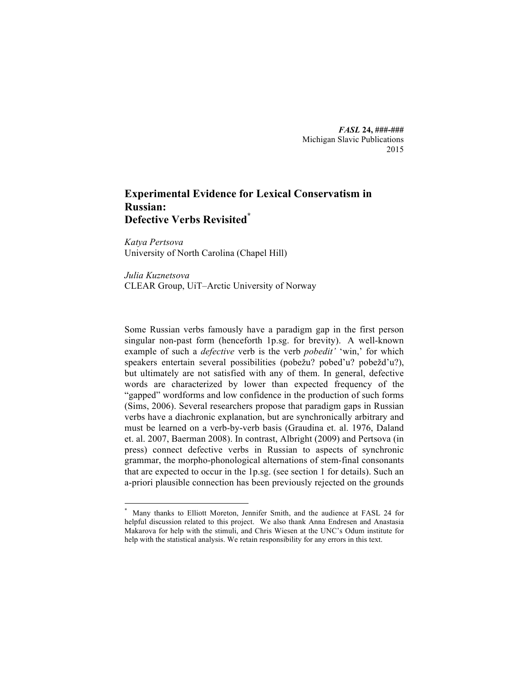*FASL* **24, ###-###** Michigan Slavic Publications 2015

# **Experimental Evidence for Lexical Conservatism in Russian: Defective Verbs Revisited\***

*Katya Pertsova* University of North Carolina (Chapel Hill)

*Julia Kuznetsova* CLEAR Group, UiT–Arctic University of Norway

Some Russian verbs famously have a paradigm gap in the first person singular non-past form (henceforth 1p.sg. for brevity). A well-known example of such a *defective* verb is the verb *pobedit'* 'win,' for which speakers entertain several possibilities (pobežu? pobed'u? pobežd'u?), but ultimately are not satisfied with any of them. In general, defective words are characterized by lower than expected frequency of the "gapped" wordforms and low confidence in the production of such forms (Sims, 2006). Several researchers propose that paradigm gaps in Russian verbs have a diachronic explanation, but are synchronically arbitrary and must be learned on a verb-by-verb basis (Graudina et. al. 1976, Daland et. al. 2007, Baerman 2008). In contrast, Albright (2009) and Pertsova (in press) connect defective verbs in Russian to aspects of synchronic grammar, the morpho-phonological alternations of stem-final consonants that are expected to occur in the 1p.sg. (see section 1 for details). Such an a-priori plausible connection has been previously rejected on the grounds

 <sup>\*</sup> Many thanks to Elliott Moreton, Jennifer Smith, and the audience at FASL 24 for helpful discussion related to this project. We also thank Anna Endresen and Anastasia Makarova for help with the stimuli, and Chris Wiesen at the UNC's Odum institute for help with the statistical analysis. We retain responsibility for any errors in this text.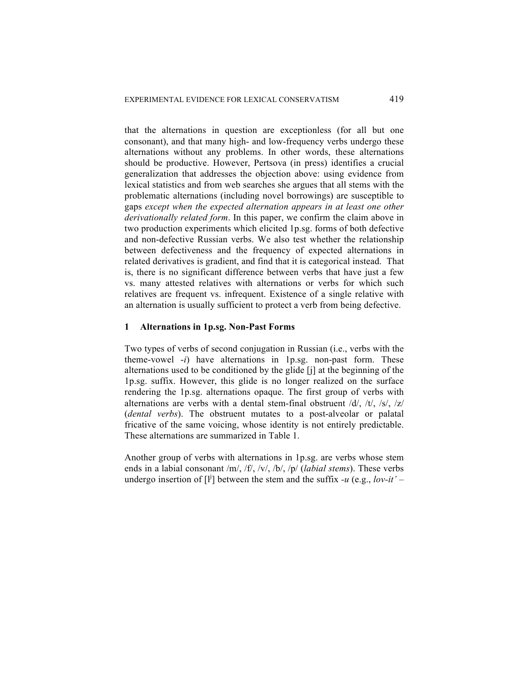that the alternations in question are exceptionless (for all but one consonant), and that many high- and low-frequency verbs undergo these alternations without any problems. In other words, these alternations should be productive. However, Pertsova (in press) identifies a crucial generalization that addresses the objection above: using evidence from lexical statistics and from web searches she argues that all stems with the problematic alternations (including novel borrowings) are susceptible to gaps *except when the expected alternation appears in at least one other derivationally related form*. In this paper, we confirm the claim above in two production experiments which elicited 1p.sg. forms of both defective and non-defective Russian verbs. We also test whether the relationship between defectiveness and the frequency of expected alternations in related derivatives is gradient, and find that it is categorical instead. That is, there is no significant difference between verbs that have just a few vs. many attested relatives with alternations or verbs for which such relatives are frequent vs. infrequent. Existence of a single relative with an alternation is usually sufficient to protect a verb from being defective.

# **1 Alternations in 1p.sg. Non-Past Forms**

Two types of verbs of second conjugation in Russian (i.e., verbs with the theme-vowel -*i*) have alternations in 1p.sg. non-past form. These alternations used to be conditioned by the glide [j] at the beginning of the 1p.sg. suffix. However, this glide is no longer realized on the surface rendering the 1p.sg. alternations opaque. The first group of verbs with alternations are verbs with a dental stem-final obstruent  $/d/$ ,  $/t/$ ,  $/s/$ ,  $/z/$ (*dental verbs*). The obstruent mutates to a post-alveolar or palatal fricative of the same voicing, whose identity is not entirely predictable. These alternations are summarized in Table 1.

Another group of verbs with alternations in 1p.sg. are verbs whose stem ends in a labial consonant /m/, /f/, /v/, /b/, /p/ (*labial stems*). These verbs undergo insertion of  $\begin{bmatrix} 1^j \end{bmatrix}$  between the stem and the suffix *-u* (e.g., *lov-it'* –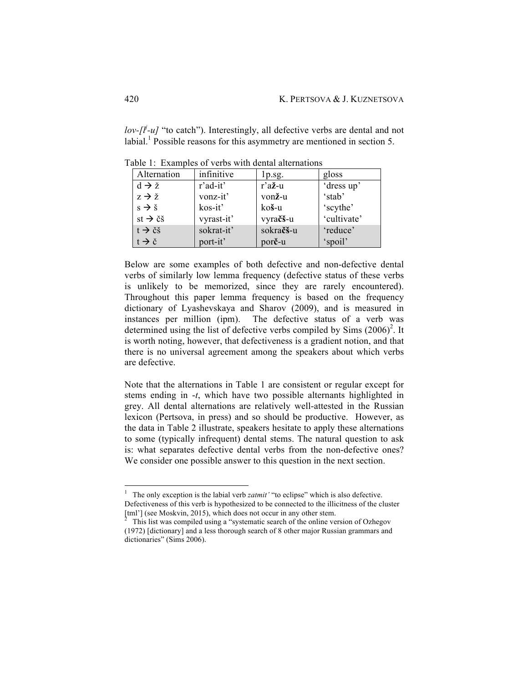*lov-[l<sup>j</sup>-u]* "to catch"). Interestingly, all defective verbs are dental and not labial.<sup>1</sup> Possible reasons for this asymmetry are mentioned in section 5.

| Alternation                        | infinitive | $1p_{.}sg.$           | gloss       |
|------------------------------------|------------|-----------------------|-------------|
| $d \rightarrow \check{z}$          | r'ad-it'   | $r$ 'a $\check{z}$ -u | 'dress up'  |
| $z \rightarrow \check{z}$          | vonz-it'   | vonž-u                | 'stab'      |
| $s \rightarrow \check{s}$          | kos-it'    | koš-u                 | 'scythe'    |
| st $\rightarrow$ čš                | vyrast-it' | vyračš-u              | 'cultivate' |
| $t \rightarrow \check{c}\check{s}$ | sokrat-it' | sokračš-u             | 'reduce'    |
| $t \rightarrow \check{c}$          | port-it'   | por <b>č</b> -u       | 'spoil'     |

Table 1: Examples of verbs with dental alternations

Below are some examples of both defective and non-defective dental verbs of similarly low lemma frequency (defective status of these verbs is unlikely to be memorized, since they are rarely encountered). Throughout this paper lemma frequency is based on the frequency dictionary of Lyashevskaya and Sharov (2009), and is measured in instances per million (ipm). The defective status of a verb was determined using the list of defective verbs compiled by Sims  $(2006)^2$ . It is worth noting, however, that defectiveness is a gradient notion, and that there is no universal agreement among the speakers about which verbs are defective.

Note that the alternations in Table 1 are consistent or regular except for stems ending in -*t*, which have two possible alternants highlighted in grey. All dental alternations are relatively well-attested in the Russian lexicon (Pertsova, in press) and so should be productive. However, as the data in Table 2 illustrate, speakers hesitate to apply these alternations to some (typically infrequent) dental stems. The natural question to ask is: what separates defective dental verbs from the non-defective ones? We consider one possible answer to this question in the next section.

<sup>&</sup>lt;sup>1</sup> The only exception is the labial verb *zatmit'* "to eclipse" which is also defective. Defectiveness of this verb is hypothesized to be connected to the illicitness of the cluster [tml'] (see Moskvin, 2015), which does not occur in any other stem.

<sup>2</sup> This list was compiled using a "systematic search of the online version of Ozhegov (1972) [dictionary] and a less thorough search of 8 other major Russian grammars and dictionaries" (Sims 2006).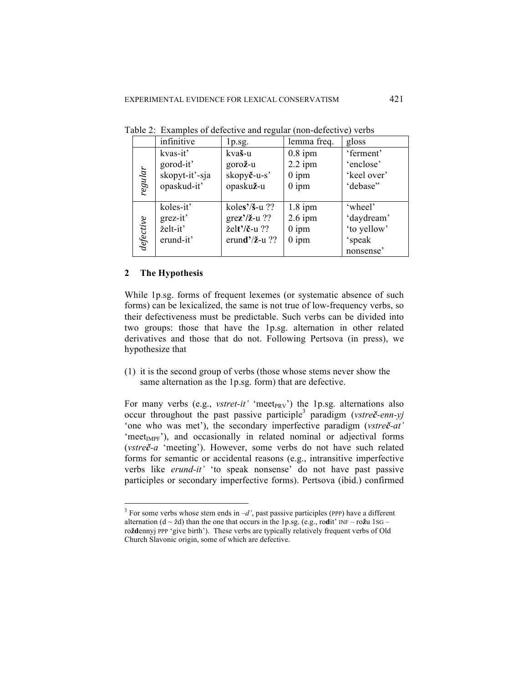|           | infinitive     | $1p_{.}sg.$                 | lemma freq. | gloss       |
|-----------|----------------|-----------------------------|-------------|-------------|
| regular   | kvas-it'       | kvaš-u                      | $0.8$ ipm   | 'ferment'   |
|           | gorod-it'      | gorož-u                     | $2.2$ ipm   | 'enclose'   |
|           | skopyt-it'-sja | skopyč-u-s'                 | $0$ ipm     | 'keel over' |
|           | opaskud-it'    | opaskuž-u                   | $0$ ipm     | 'debase"    |
|           |                |                             |             |             |
| defective | koles-it'      | koles'/ $\frac{s}{s}$ -u ?? | $1.8$ ipm   | 'wheel'     |
|           | grez-it'       | $\text{gr}$ ez'/ž-u ??      | $2.6$ ipm   | 'daydream'  |
|           | želt-it'       | želt'/č-u ??                | $0$ ipm     | 'to yellow' |
|           | erund-it'      | erund'/ $\check{z}$ -u ??   | $0$ ipm     | 'speak      |
|           |                |                             |             | nonsense'   |

Table 2: Examples of defective and regular (non-defective) verbs

#### **2 The Hypothesis**

While 1p.sg. forms of frequent lexemes (or systematic absence of such forms) can be lexicalized, the same is not true of low-frequency verbs, so their defectiveness must be predictable. Such verbs can be divided into two groups: those that have the 1p.sg. alternation in other related derivatives and those that do not. Following Pertsova (in press), we hypothesize that

(1) it is the second group of verbs (those whose stems never show the same alternation as the 1p.sg. form) that are defective.

For many verbs (e.g., *vstret-it'* 'meet<sub>PRV</sub>') the 1p.sg. alternations also occur throughout the past passive participle<sup>3</sup> paradigm (*vstre***č**-enn-yj 'one who was met'), the secondary imperfective paradigm (*vstreč-at'* 'meet $_{IMPF}$ '), and occasionally in related nominal or adjectival forms (*vstreč-a* 'meeting'). However, some verbs do not have such related forms for semantic or accidental reasons (e.g., intransitive imperfective verbs like *erund-it'* 'to speak nonsense' do not have past passive participles or secondary imperfective forms). Pertsova (ibid.) confirmed

 $3$  For some verbs whose stem ends in  $-d'$ , past passive participles (PPP) have a different alternation  $(d \sim \check{z}d)$  than the one that occurs in the 1p.sg. (e.g., rodit' INF – ro $\check{z}u$  1sG – ro**žd**ennyj PPP 'give birth'). These verbs are typically relatively frequent verbs of Old Church Slavonic origin, some of which are defective.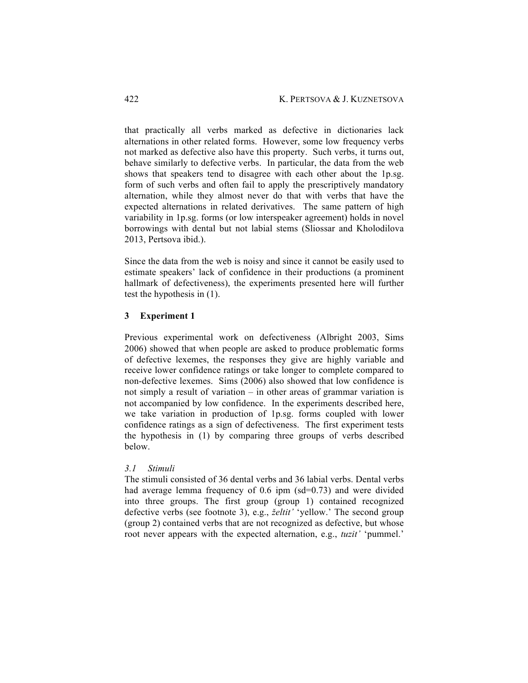that practically all verbs marked as defective in dictionaries lack alternations in other related forms. However, some low frequency verbs not marked as defective also have this property. Such verbs, it turns out, behave similarly to defective verbs. In particular, the data from the web shows that speakers tend to disagree with each other about the 1p.sg. form of such verbs and often fail to apply the prescriptively mandatory alternation, while they almost never do that with verbs that have the expected alternations in related derivatives. The same pattern of high variability in 1p.sg. forms (or low interspeaker agreement) holds in novel borrowings with dental but not labial stems (Sliossar and Kholodilova 2013, Pertsova ibid.).

Since the data from the web is noisy and since it cannot be easily used to estimate speakers' lack of confidence in their productions (a prominent hallmark of defectiveness), the experiments presented here will further test the hypothesis in (1).

# **3 Experiment 1**

Previous experimental work on defectiveness (Albright 2003, Sims 2006) showed that when people are asked to produce problematic forms of defective lexemes, the responses they give are highly variable and receive lower confidence ratings or take longer to complete compared to non-defective lexemes. Sims (2006) also showed that low confidence is not simply a result of variation – in other areas of grammar variation is not accompanied by low confidence. In the experiments described here, we take variation in production of 1p.sg. forms coupled with lower confidence ratings as a sign of defectiveness. The first experiment tests the hypothesis in (1) by comparing three groups of verbs described below.

## *3.1 Stimuli*

The stimuli consisted of 36 dental verbs and 36 labial verbs. Dental verbs had average lemma frequency of 0.6 ipm (sd=0.73) and were divided into three groups. The first group (group 1) contained recognized defective verbs (see footnote 3), e.g., *želtit'* 'yellow.' The second group (group 2) contained verbs that are not recognized as defective, but whose root never appears with the expected alternation, e.g., *tuzit'* 'pummel.'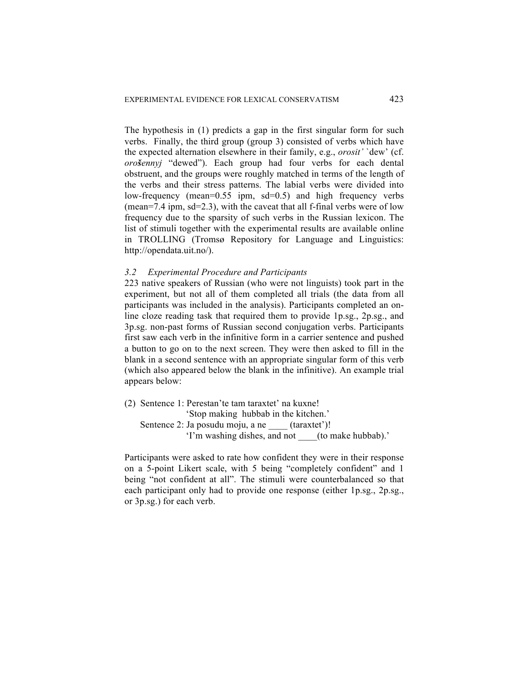The hypothesis in (1) predicts a gap in the first singular form for such verbs. Finally, the third group (group 3) consisted of verbs which have the expected alternation elsewhere in their family, e.g., *orosit'* `dew' (cf. *orošennyj* "dewed"). Each group had four verbs for each dental obstruent, and the groups were roughly matched in terms of the length of the verbs and their stress patterns. The labial verbs were divided into low-frequency (mean=0.55 ipm, sd=0.5) and high frequency verbs (mean=7.4 ipm,  $sd=2.3$ ), with the caveat that all f-final verbs were of low frequency due to the sparsity of such verbs in the Russian lexicon. The list of stimuli together with the experimental results are available online in TROLLING (Tromsø Repository for Language and Linguistics: http://opendata.uit.no/).

## *3.2 Experimental Procedure and Participants*

223 native speakers of Russian (who were not linguists) took part in the experiment, but not all of them completed all trials (the data from all participants was included in the analysis). Participants completed an online cloze reading task that required them to provide 1p.sg., 2p.sg., and 3p.sg. non-past forms of Russian second conjugation verbs. Participants first saw each verb in the infinitive form in a carrier sentence and pushed a button to go on to the next screen. They were then asked to fill in the blank in a second sentence with an appropriate singular form of this verb (which also appeared below the blank in the infinitive). An example trial appears below:

(2) Sentence 1: Perestan'te tam taraxtet' na kuxne! 'Stop making hubbab in the kitchen.' Sentence 2: Ja posudu moju, a ne (taraxtet')! 'I'm washing dishes, and not \_\_\_\_(to make hubbab).'

Participants were asked to rate how confident they were in their response on a 5-point Likert scale, with 5 being "completely confident" and 1 being "not confident at all". The stimuli were counterbalanced so that each participant only had to provide one response (either 1p.sg., 2p.sg., or 3p.sg.) for each verb.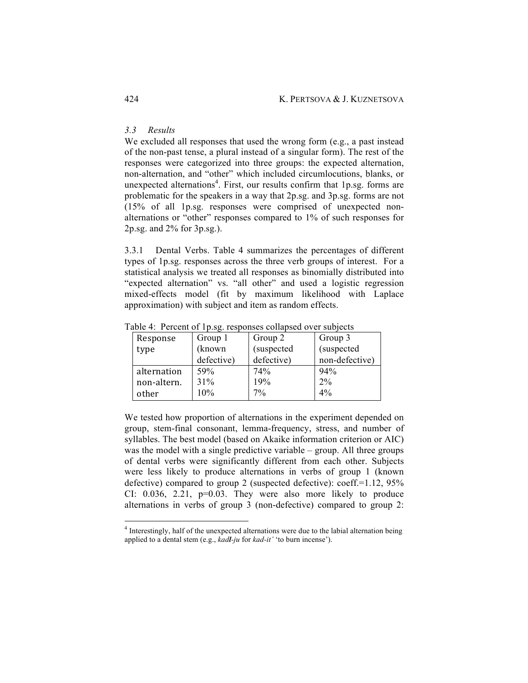## *3.3 Results*

We excluded all responses that used the wrong form (e.g., a past instead of the non-past tense, a plural instead of a singular form). The rest of the responses were categorized into three groups: the expected alternation, non-alternation, and "other" which included circumlocutions, blanks, or unexpected alternations<sup>4</sup>. First, our results confirm that 1p.sg. forms are problematic for the speakers in a way that 2p.sg. and 3p.sg. forms are not (15% of all 1p.sg. responses were comprised of unexpected nonalternations or "other" responses compared to 1% of such responses for 2p.sg. and 2% for 3p.sg.).

3.3.1 Dental Verbs. Table 4 summarizes the percentages of different types of 1p.sg. responses across the three verb groups of interest. For a statistical analysis we treated all responses as binomially distributed into "expected alternation" vs. "all other" and used a logistic regression mixed-effects model (fit by maximum likelihood with Laplace approximation) with subject and item as random effects.

| Response    | Group 1    | Group 2    | Group 3        |
|-------------|------------|------------|----------------|
| type        | (known     | (suspected | (suspected     |
|             | defective) | defective) | non-defective) |
| alternation | 59%        | 74%        | 94%            |
| non-altern. | 31%        | 19%        | 2%             |
| other       | 10%        | 7%         | 4%             |

Table 4: Percent of 1p.sg. responses collapsed over subjects

We tested how proportion of alternations in the experiment depended on group, stem-final consonant, lemma-frequency, stress, and number of syllables. The best model (based on Akaike information criterion or AIC) was the model with a single predictive variable – group. All three groups of dental verbs were significantly different from each other. Subjects were less likely to produce alternations in verbs of group 1 (known defective) compared to group 2 (suspected defective): coeff.=1.12, 95% CI:  $0.036$ ,  $2.21$ ,  $p=0.03$ . They were also more likely to produce alternations in verbs of group 3 (non-defective) compared to group 2:

 <sup>4</sup> Interestingly, half of the unexpected alternations were due to the labial alternation being applied to a dental stem (e.g., *kadl-ju* for *kad-it'* 'to burn incense').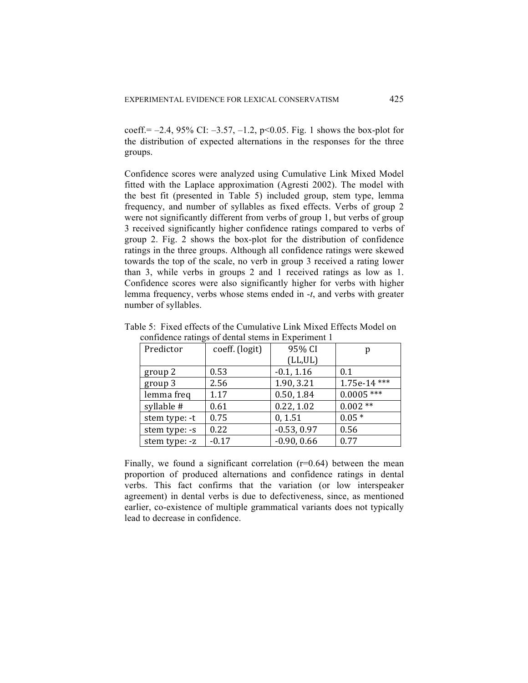coeff.=  $-2.4$ , 95% CI:  $-3.57$ ,  $-1.2$ , p<0.05. Fig. 1 shows the box-plot for the distribution of expected alternations in the responses for the three groups.

Confidence scores were analyzed using Cumulative Link Mixed Model fitted with the Laplace approximation (Agresti 2002). The model with the best fit (presented in Table 5) included group, stem type, lemma frequency, and number of syllables as fixed effects. Verbs of group 2 were not significantly different from verbs of group 1, but verbs of group 3 received significantly higher confidence ratings compared to verbs of group 2. Fig. 2 shows the box-plot for the distribution of confidence ratings in the three groups. Although all confidence ratings were skewed towards the top of the scale, no verb in group 3 received a rating lower than 3, while verbs in groups 2 and 1 received ratings as low as 1. Confidence scores were also significantly higher for verbs with higher lemma frequency, verbs whose stems ended in -*t*, and verbs with greater number of syllables.

| Predictor     | coeff. (logit) | 95% CI        | р            |
|---------------|----------------|---------------|--------------|
|               |                | (LL,UL)       |              |
| group 2       | 0.53           | $-0.1, 1.16$  | 0.1          |
| group 3       | 2.56           | 1.90, 3.21    | 1.75e-14 *** |
| lemma freq    | 1.17           | 0.50, 1.84    | $0.0005$ *** |
| syllable #    | 0.61           | 0.22, 1.02    | $0.002**$    |
| stem type: -t | 0.75           | 0, 1.51       | $0.05*$      |
| stem type: -s | 0.22           | $-0.53, 0.97$ | 0.56         |
| stem type: -z | $-0.17$        | $-0.90, 0.66$ | 0.77         |

Table 5: Fixed effects of the Cumulative Link Mixed Effects Model on confidence ratings of dental stems in Experiment 1

Finally, we found a significant correlation  $(r=0.64)$  between the mean proportion of produced alternations and confidence ratings in dental verbs. This fact confirms that the variation (or low interspeaker agreement) in dental verbs is due to defectiveness, since, as mentioned earlier, co-existence of multiple grammatical variants does not typically lead to decrease in confidence.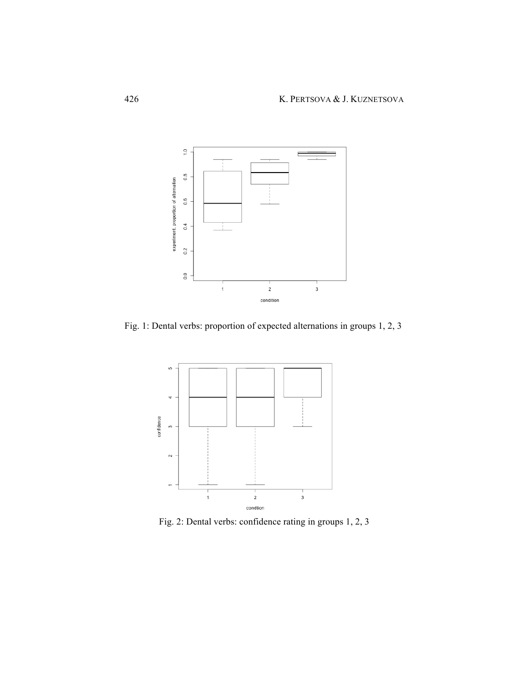

Fig. 1: Dental verbs: proportion of expected alternations in groups 1, 2, 3



Fig. 2: Dental verbs: confidence rating in groups 1, 2, 3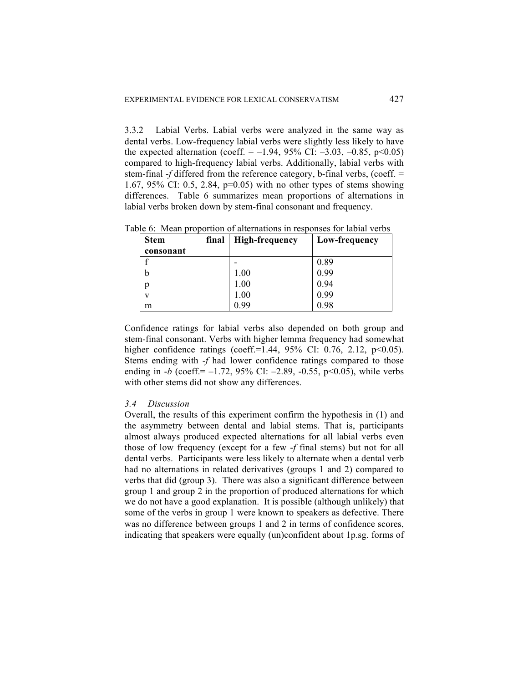3.3.2 Labial Verbs. Labial verbs were analyzed in the same way as dental verbs. Low-frequency labial verbs were slightly less likely to have the expected alternation (coeff.  $= -1.94, 95\%$  CI:  $-3.03, -0.85, p<0.05$ ) compared to high-frequency labial verbs. Additionally, labial verbs with stem-final -*f* differed from the reference category, b-final verbs, (coeff. = 1.67, 95% CI: 0.5, 2.84, p=0.05) with no other types of stems showing differences. Table 6 summarizes mean proportions of alternations in labial verbs broken down by stem-final consonant and frequency.

| <b>Stem</b>  | final | <b>High-frequency</b> | Low-frequency |
|--------------|-------|-----------------------|---------------|
| consonant    |       |                       |               |
|              |       |                       | 0.89          |
| b            |       | 1.00                  | 0.99          |
|              |       | 1.00                  | 0.94          |
| $\mathbf{V}$ |       | 1.00                  | 0.99          |
| m            |       | 0.99                  | 0.98          |

Table 6: Mean proportion of alternations in responses for labial verbs

Confidence ratings for labial verbs also depended on both group and stem-final consonant. Verbs with higher lemma frequency had somewhat higher confidence ratings (coeff.=1.44,  $95\%$  CI: 0.76, 2.12, p<0.05). Stems ending with *-f* had lower confidence ratings compared to those ending in  $-b$  (coeff.  $= -1.72$ , 95% CI:  $-2.89$ ,  $-0.55$ , p $\leq 0.05$ ), while verbs with other stems did not show any differences.

## *3.4 Discussion*

Overall, the results of this experiment confirm the hypothesis in (1) and the asymmetry between dental and labial stems. That is, participants almost always produced expected alternations for all labial verbs even those of low frequency (except for a few -*f* final stems) but not for all dental verbs. Participants were less likely to alternate when a dental verb had no alternations in related derivatives (groups 1 and 2) compared to verbs that did (group 3). There was also a significant difference between group 1 and group 2 in the proportion of produced alternations for which we do not have a good explanation. It is possible (although unlikely) that some of the verbs in group 1 were known to speakers as defective. There was no difference between groups 1 and 2 in terms of confidence scores, indicating that speakers were equally (un)confident about 1p.sg. forms of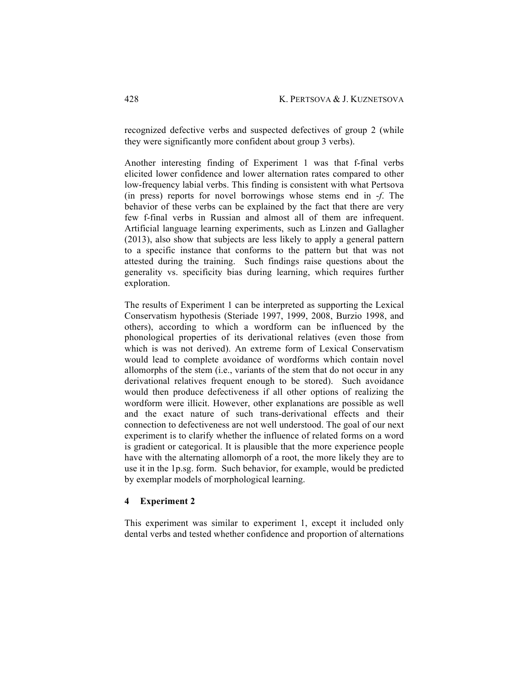recognized defective verbs and suspected defectives of group 2 (while they were significantly more confident about group 3 verbs).

Another interesting finding of Experiment 1 was that f-final verbs elicited lower confidence and lower alternation rates compared to other low-frequency labial verbs. This finding is consistent with what Pertsova (in press) reports for novel borrowings whose stems end in -*f*. The behavior of these verbs can be explained by the fact that there are very few f-final verbs in Russian and almost all of them are infrequent. Artificial language learning experiments, such as Linzen and Gallagher (2013), also show that subjects are less likely to apply a general pattern to a specific instance that conforms to the pattern but that was not attested during the training. Such findings raise questions about the generality vs. specificity bias during learning, which requires further exploration.

The results of Experiment 1 can be interpreted as supporting the Lexical Conservatism hypothesis (Steriade 1997, 1999, 2008, Burzio 1998, and others), according to which a wordform can be influenced by the phonological properties of its derivational relatives (even those from which is was not derived). An extreme form of Lexical Conservatism would lead to complete avoidance of wordforms which contain novel allomorphs of the stem (i.e., variants of the stem that do not occur in any derivational relatives frequent enough to be stored). Such avoidance would then produce defectiveness if all other options of realizing the wordform were illicit. However, other explanations are possible as well and the exact nature of such trans-derivational effects and their connection to defectiveness are not well understood. The goal of our next experiment is to clarify whether the influence of related forms on a word is gradient or categorical. It is plausible that the more experience people have with the alternating allomorph of a root, the more likely they are to use it in the 1p.sg. form. Such behavior, for example, would be predicted by exemplar models of morphological learning.

## **4 Experiment 2**

This experiment was similar to experiment 1, except it included only dental verbs and tested whether confidence and proportion of alternations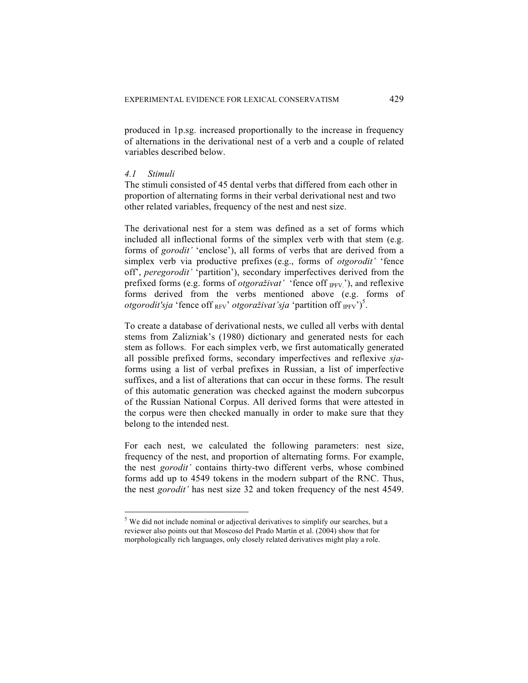produced in 1p.sg. increased proportionally to the increase in frequency of alternations in the derivational nest of a verb and a couple of related variables described below.

## *4.1 Stimuli*

The stimuli consisted of 45 dental verbs that differed from each other in proportion of alternating forms in their verbal derivational nest and two other related variables, frequency of the nest and nest size.

The derivational nest for a stem was defined as a set of forms which included all inflectional forms of the simplex verb with that stem (e.g. forms of *gorodit'* 'enclose'), all forms of verbs that are derived from a simplex verb via productive prefixes (e.g., forms of *otgorodit'* 'fence off', *peregorodit'* 'partition'), secondary imperfectives derived from the prefixed forms (e.g. forms of *otgoraživat'* 'fence off <sub>IPFV.</sub>'), and reflexive forms derived from the verbs mentioned above (e.g. forms of *otgorodit'sja* 'fence off <sub>RFV</sub>' *otgoraživat'sja* 'partition off <sub>IPFV</sub>')<sup>5</sup>.

To create a database of derivational nests, we culled all verbs with dental stems from Zalizniak's (1980) dictionary and generated nests for each stem as follows. For each simplex verb, we first automatically generated all possible prefixed forms, secondary imperfectives and reflexive *sja*forms using a list of verbal prefixes in Russian, a list of imperfective suffixes, and a list of alterations that can occur in these forms. The result of this automatic generation was checked against the modern subcorpus of the Russian National Corpus. All derived forms that were attested in the corpus were then checked manually in order to make sure that they belong to the intended nest.

For each nest, we calculated the following parameters: nest size, frequency of the nest, and proportion of alternating forms. For example, the nest *gorodit'* contains thirty-two different verbs, whose combined forms add up to 4549 tokens in the modern subpart of the RNC. Thus, the nest *gorodit'* has nest size 32 and token frequency of the nest 4549.

<sup>&</sup>lt;sup>5</sup> We did not include nominal or adjectival derivatives to simplify our searches, but a reviewer also points out that Moscoso del Prado Martín et al. (2004) show that for morphologically rich languages, only closely related derivatives might play a role.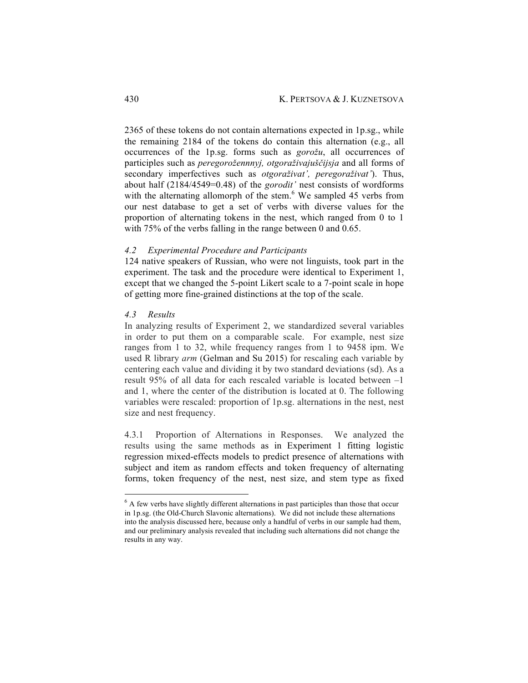2365 of these tokens do not contain alternations expected in 1p.sg., while the remaining 2184 of the tokens do contain this alternation (e.g., all occurrences of the 1p.sg. forms such as *gorožu*, all occurrences of participles such as *peregorožennnyj, otgoraživajuščijsja* and all forms of secondary imperfectives such as *otgoraživat', peregoraživat'*). Thus, about half (2184/4549=0.48) of the *gorodit'* nest consists of wordforms with the alternating allomorph of the stem.<sup>6</sup> We sampled 45 verbs from our nest database to get a set of verbs with diverse values for the proportion of alternating tokens in the nest, which ranged from 0 to 1 with 75% of the verbs falling in the range between 0 and 0.65.

#### *4.2 Experimental Procedure and Participants*

124 native speakers of Russian, who were not linguists, took part in the experiment. The task and the procedure were identical to Experiment 1, except that we changed the 5-point Likert scale to a 7-point scale in hope of getting more fine-grained distinctions at the top of the scale.

#### *4.3 Results*

In analyzing results of Experiment 2, we standardized several variables in order to put them on a comparable scale. For example, nest size ranges from 1 to 32, while frequency ranges from 1 to 9458 ipm. We used R library *arm* (Gelman and Su 2015) for rescaling each variable by centering each value and dividing it by two standard deviations (sd). As a result 95% of all data for each rescaled variable is located between –1 and 1, where the center of the distribution is located at 0. The following variables were rescaled: proportion of 1p.sg. alternations in the nest, nest size and nest frequency.

4.3.1 Proportion of Alternations in Responses. We analyzed the results using the same methods as in Experiment 1 fitting logistic regression mixed-effects models to predict presence of alternations with subject and item as random effects and token frequency of alternating forms, token frequency of the nest, nest size, and stem type as fixed

 $6$  A few verbs have slightly different alternations in past participles than those that occur in 1p.sg. (the Old-Church Slavonic alternations). We did not include these alternations into the analysis discussed here, because only a handful of verbs in our sample had them, and our preliminary analysis revealed that including such alternations did not change the results in any way.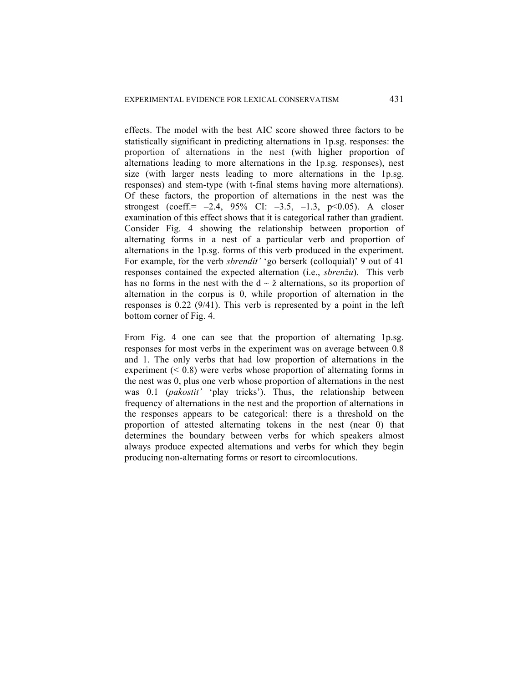effects. The model with the best AIC score showed three factors to be statistically significant in predicting alternations in 1p.sg. responses: the proportion of alternations in the nest (with higher proportion of alternations leading to more alternations in the 1p.sg. responses), nest size (with larger nests leading to more alternations in the 1p.sg. responses) and stem-type (with t-final stems having more alternations). Of these factors, the proportion of alternations in the nest was the strongest (coeff.= *–*2.4, 95% CI: *–*3.5, *–*1.3, p<0.05). A closer examination of this effect shows that it is categorical rather than gradient. Consider Fig. 4 showing the relationship between proportion of alternating forms in a nest of a particular verb and proportion of alternations in the 1p.sg. forms of this verb produced in the experiment. For example, for the verb *sbrendit'* 'go berserk (colloquial)' 9 out of 41 responses contained the expected alternation (i.e., *sbrenžu*). This verb has no forms in the nest with the  $d \sim \check{z}$  alternations, so its proportion of alternation in the corpus is 0, while proportion of alternation in the responses is 0.22 (9/41). This verb is represented by a point in the left bottom corner of Fig. 4.

From Fig. 4 one can see that the proportion of alternating 1p.sg. responses for most verbs in the experiment was on average between 0.8 and 1. The only verbs that had low proportion of alternations in the experiment  $( $0.8$ ) were verbs whose proportion of alternating forms in$ the nest was 0, plus one verb whose proportion of alternations in the nest was 0.1 (*pakostit'* 'play tricks'). Thus, the relationship between frequency of alternations in the nest and the proportion of alternations in the responses appears to be categorical: there is a threshold on the proportion of attested alternating tokens in the nest (near 0) that determines the boundary between verbs for which speakers almost always produce expected alternations and verbs for which they begin producing non-alternating forms or resort to circomlocutions.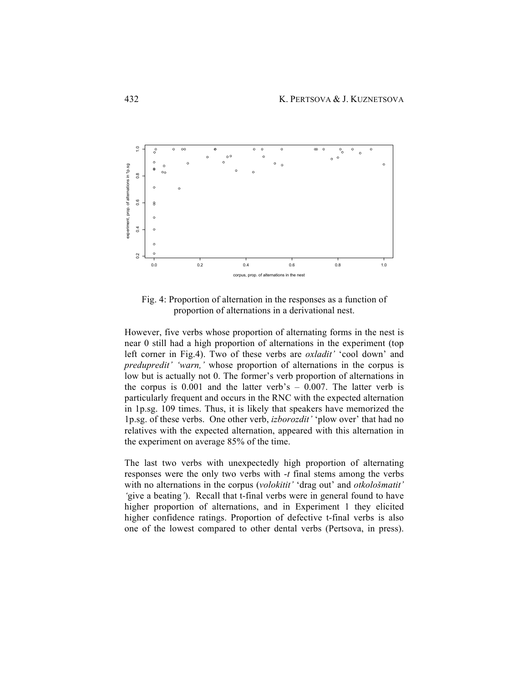

Fig. 4: Proportion of alternation in the responses as a function of proportion of alternations in a derivational nest.

However, five verbs whose proportion of alternating forms in the nest is near 0 still had a high proportion of alternations in the experiment (top left corner in Fig.4). Two of these verbs are *oxladit'* 'cool down' and *predupredit' 'warn,'* whose proportion of alternations in the corpus is low but is actually not 0. The former's verb proportion of alternations in the corpus is  $0.001$  and the latter verb's  $-0.007$ . The latter verb is particularly frequent and occurs in the RNC with the expected alternation in 1p.sg. 109 times. Thus, it is likely that speakers have memorized the 1p.sg. of these verbs. One other verb, *izborozdit'* 'plow over' that had no relatives with the expected alternation, appeared with this alternation in the experiment on average 85% of the time.

The last two verbs with unexpectedly high proportion of alternating responses were the only two verbs with -*t* final stems among the verbs with no alternations in the corpus (*volokitit'* 'drag out' and *otkološmatit' '*give a beating*'*). Recall that t-final verbs were in general found to have higher proportion of alternations, and in Experiment 1 they elicited higher confidence ratings. Proportion of defective t-final verbs is also one of the lowest compared to other dental verbs (Pertsova, in press).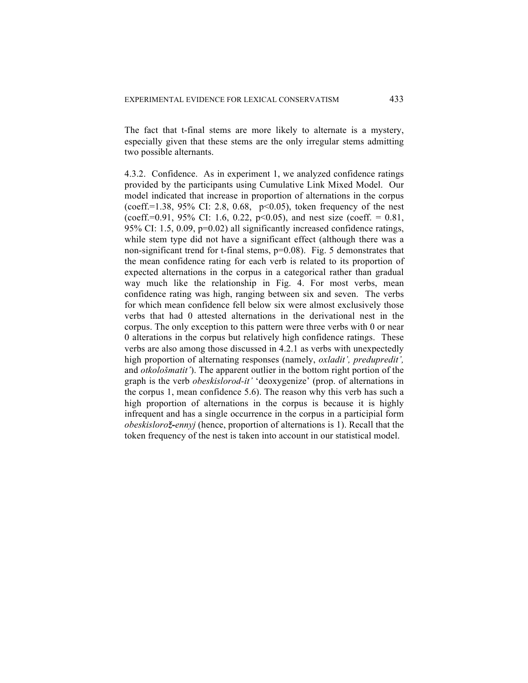The fact that t-final stems are more likely to alternate is a mystery, especially given that these stems are the only irregular stems admitting two possible alternants.

4.3.2. Confidence. As in experiment 1, we analyzed confidence ratings provided by the participants using Cumulative Link Mixed Model. Our model indicated that increase in proportion of alternations in the corpus (coeff.=1.38, 95% CI: 2.8, 0.68,  $p<0.05$ ), token frequency of the nest (coeff.=0.91, 95% CI: 1.6, 0.22, p<0.05), and nest size (coeff. = 0.81, 95% CI: 1.5, 0.09, p=0.02) all significantly increased confidence ratings, while stem type did not have a significant effect (although there was a non-significant trend for t-final stems, p=0.08). Fig. 5 demonstrates that the mean confidence rating for each verb is related to its proportion of expected alternations in the corpus in a categorical rather than gradual way much like the relationship in Fig. 4. For most verbs, mean confidence rating was high, ranging between six and seven. The verbs for which mean confidence fell below six were almost exclusively those verbs that had 0 attested alternations in the derivational nest in the corpus. The only exception to this pattern were three verbs with 0 or near 0 alterations in the corpus but relatively high confidence ratings. These verbs are also among those discussed in 4.2.1 as verbs with unexpectedly high proportion of alternating responses (namely, *oxladit', predupredit',*  and *otkološmatit'*). The apparent outlier in the bottom right portion of the graph is the verb *obeskislorod-it'* 'deoxygenize' (prop. of alternations in the corpus 1, mean confidence 5.6). The reason why this verb has such a high proportion of alternations in the corpus is because it is highly infrequent and has a single occurrence in the corpus in a participial form *obeskislorož-ennyj* (hence, proportion of alternations is 1). Recall that the token frequency of the nest is taken into account in our statistical model.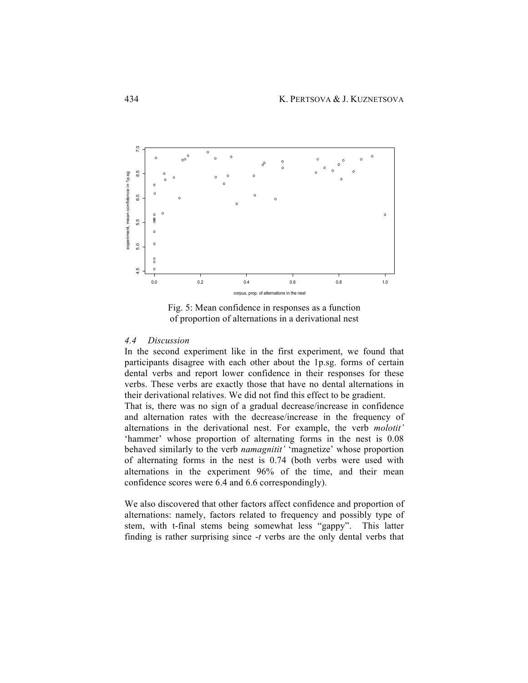

Fig. 5: Mean confidence in responses as a function of proportion of alternations in a derivational nest

## *4.4 Discussion*

In the second experiment like in the first experiment, we found that participants disagree with each other about the 1p.sg. forms of certain dental verbs and report lower confidence in their responses for these verbs. These verbs are exactly those that have no dental alternations in their derivational relatives. We did not find this effect to be gradient.

That is, there was no sign of a gradual decrease/increase in confidence and alternation rates with the decrease/increase in the frequency of alternations in the derivational nest. For example, the verb *molotit'* 'hammer' whose proportion of alternating forms in the nest is 0.08 behaved similarly to the verb *namagnitit'* 'magnetize' whose proportion of alternating forms in the nest is 0.74 (both verbs were used with alternations in the experiment 96% of the time, and their mean confidence scores were 6.4 and 6.6 correspondingly).

We also discovered that other factors affect confidence and proportion of alternations: namely, factors related to frequency and possibly type of stem, with t-final stems being somewhat less "gappy". This latter finding is rather surprising since -*t* verbs are the only dental verbs that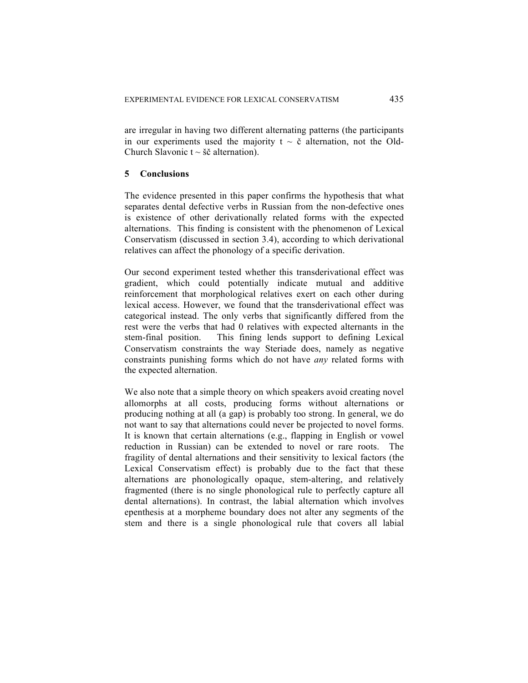are irregular in having two different alternating patterns (the participants in our experiments used the majority  $t \sim \tilde{c}$  alternation, not the Old-Church Slavonic  $t \sim \check{\sigma} \check{\sigma}$  alternation).

## **5 Conclusions**

The evidence presented in this paper confirms the hypothesis that what separates dental defective verbs in Russian from the non-defective ones is existence of other derivationally related forms with the expected alternations. This finding is consistent with the phenomenon of Lexical Conservatism (discussed in section 3.4), according to which derivational relatives can affect the phonology of a specific derivation.

Our second experiment tested whether this transderivational effect was gradient, which could potentially indicate mutual and additive reinforcement that morphological relatives exert on each other during lexical access. However, we found that the transderivational effect was categorical instead. The only verbs that significantly differed from the rest were the verbs that had 0 relatives with expected alternants in the stem-final position. This fining lends support to defining Lexical Conservatism constraints the way Steriade does, namely as negative constraints punishing forms which do not have *any* related forms with the expected alternation.

We also note that a simple theory on which speakers avoid creating novel allomorphs at all costs, producing forms without alternations or producing nothing at all (a gap) is probably too strong. In general, we do not want to say that alternations could never be projected to novel forms. It is known that certain alternations (e.g., flapping in English or vowel reduction in Russian) can be extended to novel or rare roots. The fragility of dental alternations and their sensitivity to lexical factors (the Lexical Conservatism effect) is probably due to the fact that these alternations are phonologically opaque, stem-altering, and relatively fragmented (there is no single phonological rule to perfectly capture all dental alternations). In contrast, the labial alternation which involves epenthesis at a morpheme boundary does not alter any segments of the stem and there is a single phonological rule that covers all labial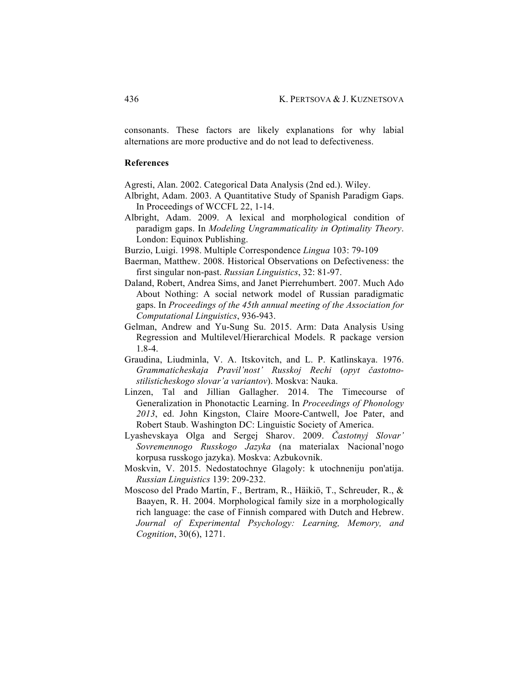consonants. These factors are likely explanations for why labial alternations are more productive and do not lead to defectiveness.

## **References**

Agresti, Alan. 2002. Categorical Data Analysis (2nd ed.). Wiley.

- Albright, Adam. 2003. A Quantitative Study of Spanish Paradigm Gaps. In Proceedings of WCCFL 22, 1-14.
- Albright, Adam. 2009. A lexical and morphological condition of paradigm gaps. In *Modeling Ungrammaticality in Optimality Theory*. London: Equinox Publishing.

Burzio, Luigi. 1998. Multiple Correspondence *Lingua* 103: 79-109

- Baerman, Matthew. 2008. Historical Observations on Defectiveness: the first singular non-past. *Russian Linguistics*, 32: 81-97.
- Daland, Robert, Andrea Sims, and Janet Pierrehumbert. 2007. Much Ado About Nothing: A social network model of Russian paradigmatic gaps. In *Proceedings of the 45th annual meeting of the Association for Computational Linguistics*, 936-943.
- Gelman, Andrew and Yu-Sung Su. 2015. Arm: Data Analysis Using Regression and Multilevel/Hierarchical Models. R package version 1.8-4.
- Graudina, Liudminla, V. A. Itskovitch, and L. P. Katlinskaya. 1976. *Grammaticheskaja Pravil'nost' Russkoj Rechi* (*opyt častotnostilisticheskogo slovar'a variantov*). Moskva: Nauka.
- Linzen, Tal and Jillian Gallagher. 2014. The Timecourse of Generalization in Phonotactic Learning. In *Proceedings of Phonology 2013*, ed. John Kingston, Claire Moore-Cantwell, Joe Pater, and Robert Staub. Washington DC: Linguistic Society of America.
- Lyashevskaya Olga and Sergej Sharov. 2009. *Častotnyj Slovar' Sovremennogo Russkogo Jazyka* (na materialax Nacional'nogo korpusa russkogo jazyka). Moskva: Azbukovnik.
- Moskvin, V. 2015. Nedostatochnye Glagoly: k utochneniju pon'atija. *Russian Linguistics* 139: 209-232.
- Moscoso del Prado Martín, F., Bertram, R., Häikiö, T., Schreuder, R., & Baayen, R. H. 2004. Morphological family size in a morphologically rich language: the case of Finnish compared with Dutch and Hebrew. *Journal of Experimental Psychology: Learning, Memory, and Cognition*, 30(6), 1271.